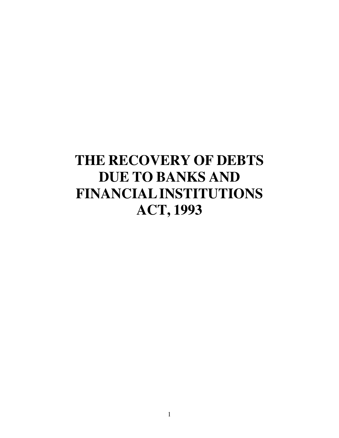# **THE RECOVERY OF DEBTS DUE TO BANKS AND FINANCIAL INSTITUTIONS ACT, 1993**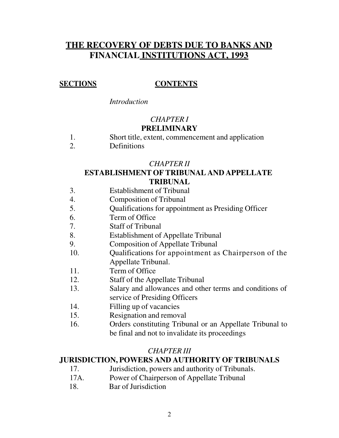## **THE RECOVERY OF DEBTS DUE TO BANKS AND FINANCIAL INSTITUTIONS ACT, 1993**

### **SECTIONS CONTENTS**

*Introduction*

### *CHAPTER I* **PRELIMINARY**

- 1. Short title, extent, commencement and application
- 2. Definitions

### *CHAPTER II*

### **ESTABLISHMENT OF TRIBUNAL AND APPELLATE TRIBUNAL**

- 3. Establishment of Tribunal
- 4. Composition of Tribunal
- 5. Qualifications for appointment as Presiding Officer
- 6. Term of Office
- 7. Staff of Tribunal
- 8. Establishment of Appellate Tribunal
- 9. Composition of Appellate Tribunal
- 10. Qualifications for appointment as Chairperson of the Appellate Tribunal.
- 11. Term of Office
- 12. Staff of the Appellate Tribunal
- 13. Salary and allowances and other terms and conditions of service of Presiding Officers
- 14. Filling up of vacancies
- 15. Resignation and removal
- 16. Orders constituting Tribunal or an Appellate Tribunal to be final and not to invalidate its proceedings

### *CHAPTER III*

### **JURISDICTION, POWERS AND AUTHORITY OF TRIBUNALS**

- 17. Jurisdiction, powers and authority of Tribunals.
- 17A. Power of Chairperson of Appellate Tribunal
- 18. Bar of Jurisdiction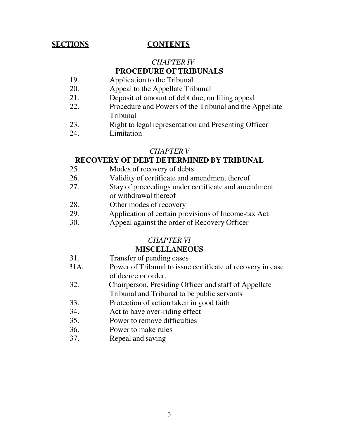### **SECTIONS CONTENTS**

## *CHAPTER IV*

### **PROCEDURE OF TRIBUNALS**

- 19. Application to the Tribunal
- 20. Appeal to the Appellate Tribunal
- 21. Deposit of amount of debt due, on filing appeal
- 22. Procedure and Powers of the Tribunal and the Appellate Tribunal
- 23. Right to legal representation and Presenting Officer
- 24. Limitation

### *CHAPTER V*

### **RECOVERY OF DEBT DETERMINED BY TRIBUNAL**

- 25. Modes of recovery of debts
- 26. Validity of certificate and amendment thereof
- 27. Stay of proceedings under certificate and amendment or withdrawal thereof
- 28. Other modes of recovery
- 29. Application of certain provisions of Income-tax Act
- 30. Appeal against the order of Recovery Officer

### *CHAPTER VI*

### **MISCELLANEOUS**

- 31. Transfer of pending cases
- 31A. Power of Tribunal to issue certificate of recovery in case of decree or order.
- 32. Chairperson, Presiding Officer and staff of Appellate Tribunal and Tribunal to be public servants
- 33. Protection of action taken in good faith
- 34. Act to have over-riding effect
- 35. Power to remove difficulties
- 36. Power to make rules
- 37. Repeal and saving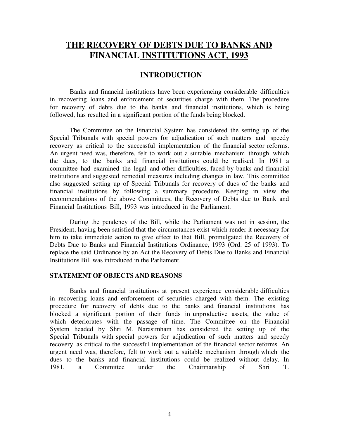### **THE RECOVERY OF DEBTS DUE TO BANKS AND FINANCIAL INSTITUTIONS ACT, 1993**

### **INTRODUCTION**

Banks and financial institutions have been experiencing considerable difficulties in recovering loans and enforcement of securities charge with them. The procedure for recovery of debts due to the banks and financial institutions, which is being followed, has resulted in a significant portion of the funds being blocked.

The Committee on the Financial System has considered the setting up of the Special Tribunals with special powers for adjudication of such matters and speedy recovery as critical to the successful implementation of the financial sector reforms. An urgent need was, therefore, felt to work out a suitable mechanism through which the dues, to the banks and financial institutions could be realised. In 1981 a committee had examined the legal and other difficulties, faced by banks and financial institutions and suggested remedial measures including changes in law. This committee also suggested setting up of Special Tribunals for recovery of dues of the banks and financial institutions by following a summary procedure. Keeping in view the recommendations of the above Committees, the Recovery of Debts due to Bank and Financial Institutions Bill, 1993 was introduced in the Parliament.

During the pendency of the Bill, while the Parliament was not in session, the President, having been satisfied that the circumstances exist which render it necessary for him to take immediate action to give effect to that Bill, promulgated the Recovery of Debts Due to Banks and Financial Institutions Ordinance, 1993 (Ord. 25 of 1993). To replace the said Ordinance by an Act the Recovery of Debts Due to Banks and Financial Institutions Bill was introduced in the Parliament.

#### **STATEMENT OF OBJECTS AND REASONS**

Banks and financial institutions at present experience considerable difficulties in recovering loans and enforcement of securities charged with them. The existing procedure for recovery of debts due to the banks and financial institutions has blocked a significant portion of their funds in unproductive assets, the value of which deteriorates with the passage of time. The Committee on the Financial System headed by Shri M. Narasimham has considered the setting up of the Special Tribunals with special powers for adjudication of such matters and speedy recovery as critical to the successful implementation of the financial sector reforms. An urgent need was, therefore, felt to work out a suitable mechanism through which the dues to the banks and financial institutions could be realized without delay. In 1981, a Committee under the Chairmanship of Shri T.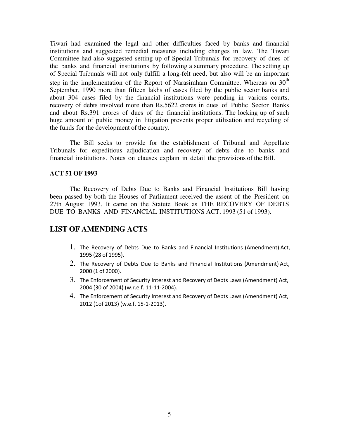Tiwari had examined the legal and other difficulties faced by banks and financial institutions and suggested remedial measures including changes in law. The Tiwari Committee had also suggested setting up of Special Tribunals for recovery of dues of the banks and financial institutions by following a summary procedure. The setting up of Special Tribunals will not only fulfill a long-felt need, but also will be an important step in the implementation of the Report of Narasimham Committee. Whereas on 30<sup>th</sup> September, 1990 more than fifteen lakhs of cases filed by the public sector banks and about 304 cases filed by the financial institutions were pending in various courts, recovery of debts involved more than Rs.5622 crores in dues of Public Sector Banks and about Rs.391 crores of dues of the financial institutions. The locking up of such huge amount of public money in litigation prevents proper utilisation and recycling of the funds for the development of the country.

The Bill seeks to provide for the establishment of Tribunal and Appellate Tribunals for expeditious adjudication and recovery of debts due to banks and financial institutions. Notes on clauses explain in detail the provisions of the Bill.

### **ACT 51 OF 1993**

The Recovery of Debts Due to Banks and Financial Institutions Bill having been passed by both the Houses of Parliament received the assent of the President on 27th August 1993. It came on the Statute Book as THE RECOVERY OF DEBTS DUE TO BANKS AND FINANCIAL INSTITUTIONS ACT, 1993 (51 of 1993).

### **LIST OF AMENDING ACTS**

- 1. The Recovery of Debts Due to Banks and Financial Institutions (Amendment) Act, 1995 (28 of 1995).
- 2. The Recovery of Debts Due to Banks and Financial Institutions (Amendment) Act, 2000 (1 of 2000).
- 3. The Enforcement of Security Interest and Recovery of Debts Laws (Amendment) Act, 2004 (30 of 2004) (w.r.e.f. 11-11-2004).
- 4. The Enforcement of Security Interest and Recovery of Debts Laws (Amendment) Act, 2012 (1of 2013) (w.e.f. 15-1-2013).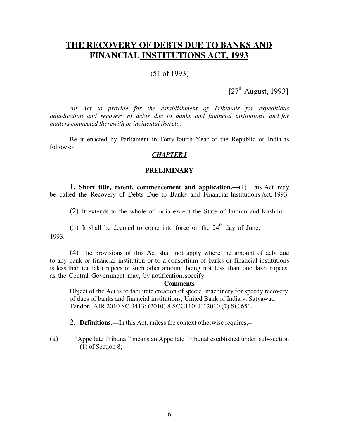### **THE RECOVERY OF DEBTS DUE TO BANKS AND FINANCIAL INSTITUTIONS ACT, 1993**

### (51 of 1993)

 $[27<sup>th</sup>$  August, 1993]

*An Act to provide for the establishment of Tribunals for expeditious adjudication and recovery of debts due to banks and financial institutions and for matters connected therewith or incidental thereto.*

Be it enacted by Parliament in Forty-fourth Year of the Republic of India as follows:-

### *CHAPTER I*

#### **PRELIMINARY**

**1. Short title, extent, commencement and application.—**(1) This Act may be called the Recovery of Debts Due to Banks and Financial Institutions Act, 1993.

(2) It extends to the whole of India except the State of Jammu and Kashmir.

(3) It shall be deemed to come into force on the  $24<sup>th</sup>$  day of June.

1993.

(4) The provisions of this Act shall not apply where the amount of debt due to any bank or financial institution or to a consortium of banks or financial institutions is less than ten lakh rupees or such other amount, being not less than one lakh rupees, as the Central Government may, by notification, specify.

#### **Comments**

Object of the Act is to facilitate creation of special machinery for speedy recovery of dues of banks and financial institutions; United Bank of India v. Satyawati Tandon, AIR 2010 SC 3413: (2010) 8 SCC110: JT 2010 (7) SC 651.

**2. Definitions.—**In this Act, unless the context otherwise requires,--

(a) "Appellate Tribunal" means an Appellate Tribunal established under sub-section (1) of Section 8;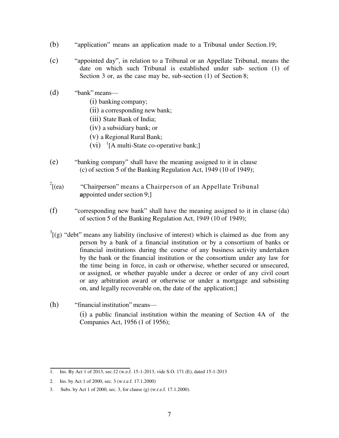- (b) "application" means an application made to a Tribunal under Section.19;
- (c) "appointed day", in relation to a Tribunal or an Appellate Tribunal, means the date on which such Tribunal is established under sub- section (1) of Section 3 or, as the case may be, sub-section (1) of Section 8;
- $(d)$  "bank" means—
	- (i) banking company;
	- (ii) a corresponding new bank;
	- (iii) State Bank of India;
	- (iv) a subsidiary bank; or
	- (v) a Regional Rural Bank;
	- $(vi)$ <sup>1</sup>[A multi-State co-operative bank;]
- (e) "banking company" shall have the meaning assigned to it in clause (c) of section 5 of the Banking Regulation Act, 1949 (10 of 1949);
- $^{2}$ [(ea) "Chairperson" means a Chairperson of an Appellate Tribunal **a**ppointed under section 9;]
- $(f)$  "corresponding new bank" shall have the meaning assigned to it in clause (da) of section 5 of the Banking Regulation Act, 1949 (10 of 1949);
- $3\text{[g)}$  "debt" means any liability (inclusive of interest) which is claimed as due from any person by a bank of a financial institution or by a consortium of banks or financial institutions during the course of any business activity undertaken by the bank or the financial institution or the consortium under any law for the time being in force, in cash or otherwise, whether secured or unsecured, or assigned, or whether payable under a decree or order of any civil court or any arbitration award or otherwise or under a mortgage and subsisting on, and legally recoverable on, the date of the application;]
- $(h)$  "financial institution" means— (i) a public financial institution within the meaning of Section 4A of the Companies Act, 1956 (1 of 1956);

<sup>1.</sup> Ins. By Act 1 of 2013, sec.12 (w.e.f. 15-1-2013, vide S.O. 171 (E), dated 15-1-2013

<sup>2.</sup> Ins. by Act 1 of 2000, sec. 3 (w.r.e.f. 17.1.2000)

<sup>3.</sup> Subs. by Act 1 of 2000, sec. 3, for clause (g) (w.r.e.f. 17.1.2000).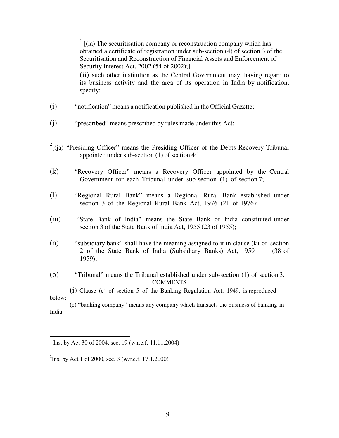$1$  [(ia) The securitisation company or reconstruction company which has obtained a certificate of registration under sub-section (4) of section 3 of the Securitisation and Reconstruction of Financial Assets and Enforcement of Security Interest Act, 2002 (54 of 2002);]

(ii) such other institution as the Central Government may, having regard to its business activity and the area of its operation in India by notification, specify;

- $(i)$  "notification" means a notification published in the Official Gazette;
- (j) "prescribed" means prescribed by rules made under this Act;
- $2^{2}$ [(ja) "Presiding Officer" means the Presiding Officer of the Debts Recovery Tribunal appointed under sub-section (1) of section 4;]
- (k) "Recovery Officer" means a Recovery Officer appointed by the Central Government for each Tribunal under sub-section (1) of section 7;
- (l) 
"Regional Rural Bank" means a Regional Rural Bank established under section 3 of the Regional Rural Bank Act, 1976 (21 of 1976);
- (m) 
"State Bank of India" means the State Bank of India constituted under section 3 of the State Bank of India Act, 1955 (23 of 1955);

 $(n)$  "subsidiary bank" shall have the meaning assigned to it in clause (k) of section 2 of the State Bank of India (Subsidiary Banks) Act, 1959 (38 of 1959);

(o) ―Tribunal‖ means the Tribunal established under sub-section (1) of section 3. **COMMENTS** 

(i) Clause (c) of section 5 of the Banking Regulation Act, 1949, is reproduced below:

(c) "banking company" means any company which transacts the business of banking in India.

<sup>&</sup>lt;sup>1</sup> Ins. by Act 30 of 2004, sec. 19 (w.r.e.f. 11.11.2004)

<sup>&</sup>lt;sup>2</sup>Ins. by Act 1 of 2000, sec. 3 (w.r.e.f. 17.1.2000)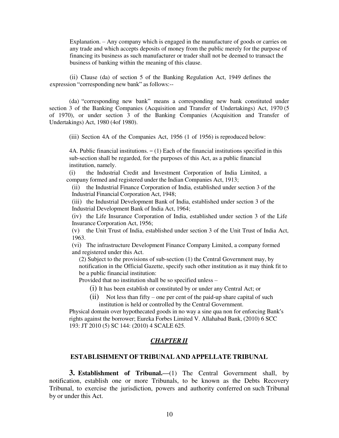Explanation. – Any company which is engaged in the manufacture of goods or carries on any trade and which accepts deposits of money from the public merely for the purpose of financing its business as such manufacturer or trader shall not be deemed to transact the business of banking within the meaning of this clause.

(ii) Clause (da) of section 5 of the Banking Regulation Act, 1949 defines the expression "corresponding new bank" as follows:--

(da) "corresponding new bank" means a corresponding new bank constituted under section 3 of the Banking Companies (Acquisition and Transfer of Undertakings) Act, 1970 (5 of 1970), or under section 3 of the Banking Companies (Acquisition and Transfer of Undertakings) Act, 1980 (4of 1980).

(iii) Section 4A of the Companies Act, 1956 (1 of 1956) is reproduced below:

4A. Public financial institutions.  $- (1)$  Each of the financial institutions specified in this sub-section shall be regarded, for the purposes of this Act, as a public financial institution, namely.

(i) the Industrial Credit and Investment Corporation of India Limited, a company formed and registered under the Indian Companies Act, 1913;

(ii) the Industrial Finance Corporation of India, established under section 3 of the Industrial Financial Corporation Act, 1948;

(iii) the Industrial Development Bank of India, established under section 3 of the Industrial Development Bank of India Act, 1964;

(iv) the Life Insurance Corporation of India, established under section 3 of the Life Insurance Corporation Act, 1956;

(v) the Unit Trust of India, established under section 3 of the Unit Trust of India Act, 1963.

(vi) The infrastructure Development Finance Company Limited, a company formed and registered under this Act.

(2) Subject to the provisions of sub-section (1) the Central Government may, by notification in the Official Gazette, specify such other institution as it may think fit to be a public financial institution:

Provided that no institution shall be so specified unless –

(i) It has been establish or constituted by or under any Central Act; or

 $(ii)$  Not less than fifty – one per cent of the paid-up share capital of such institution is held or controlled by the Central Government.

Physical domain over hypothecated goods in no way a sine qua non for enforcing Bank's rights against the borrower; Eureka Forbes Limited V. Allahabad Bank, (2010) 6 SCC 193: JT 2010 (5) SC 144: (2010) 4 SCALE 625.

### *CHAPTER II*

### **ESTABLISHMENT OF TRIBUNAL AND APPELLATE TRIBUNAL**

**3. Establishment of Tribunal.** (1) The Central Government shall, by notification, establish one or more Tribunals, to be known as the Debts Recovery Tribunal, to exercise the jurisdiction, powers and authority conferred on such Tribunal by or under this Act.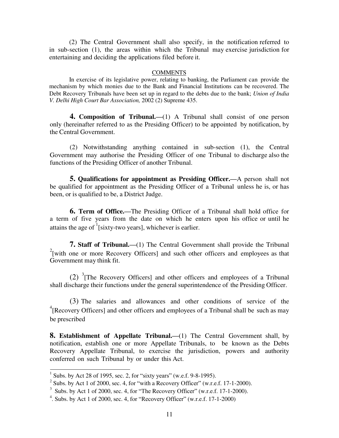(2) The Central Government shall also specify, in the notification referred to in sub-section (1), the areas within which the Tribunal may exercise jurisdiction for entertaining and deciding the applications filed before it.

#### **COMMENTS**

In exercise of its legislative power, relating to banking, the Parliament can provide the mechanism by which monies due to the Bank and Financial Institutions can be recovered. The Debt Recovery Tribunals have been set up in regard to the debts due to the bank; *Union of India V. Delhi High Court Bar Association,* 2002 (2) Supreme 435.

**4. Composition of Tribunal.—**(1) A Tribunal shall consist of one person only (hereinafter referred to as the Presiding Officer) to be appointed by notification, by the Central Government.

(2) Notwithstanding anything contained in sub-section (1), the Central Government may authorise the Presiding Officer of one Tribunal to discharge also the functions of the Presiding Officer of another Tribunal.

**5. Qualifications for appointment as Presiding Officer.—**A person shall not be qualified for appointment as the Presiding Officer of a Tribunal unless he is, or has been, or is qualified to be, a District Judge.

**6. Term of Office.—**The Presiding Officer of a Tribunal shall hold office for a term of five years from the date on which he enters upon his office or until he attains the age of  $\frac{1}{1}$ [sixty-two years], whichever is earlier.

**7. Staff of Tribunal.—**(1) The Central Government shall provide the Tribunal  $2$ [with one or more Recovery Officers] and such other officers and employees as that Government may think fit.

 $(2)$ <sup>3</sup>[The Recovery Officers] and other officers and employees of a Tribunal shall discharge their functions under the general superintendence of the Presiding Officer.

(3) The salaries and allowances and other conditions of service of the  $A^4$ [Recovery Officers] and other officers and employees of a Tribunal shall be such as may be prescribed

**8.** Establishment of Appellate Tribunal.—(1) The Central Government shall, by notification, establish one or more Appellate Tribunals, to be known as the Debts Recovery Appellate Tribunal, to exercise the jurisdiction, powers and authority conferred on such Tribunal by or under this Act.

 $1$  Subs. by Act 28 of 1995, sec. 2, for "sixty years" (w.e.f. 9-8-1995).

 $2$  Subs. by Act 1 of 2000, sec. 4, for "with a Recovery Officer" (w.r.e.f. 17-1-2000).

 $3$  Subs. by Act 1 of 2000, sec. 4, for "The Recovery Officer" (w.r.e.f. 17-1-2000).

 $4$ . Subs. by Act 1 of 2000, sec. 4, for "Recovery Officer" (w.r.e.f. 17-1-2000)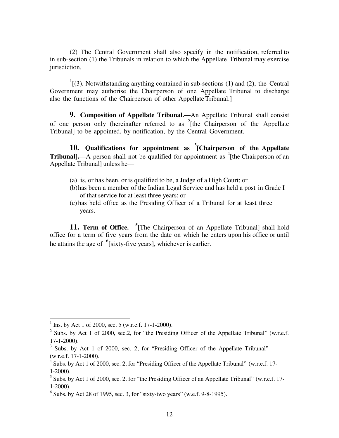(2) The Central Government shall also specify in the notification, referred to in sub-section (1) the Tribunals in relation to which the Appellate Tribunal may exercise jurisdiction.

 $\frac{1}{1}$ [(3). Notwithstanding anything contained in sub-sections (1) and (2), the Central Government may authorise the Chairperson of one Appellate Tribunal to discharge also the functions of the Chairperson of other Appellate Tribunal.]

**9. Composition of Appellate Tribunal.—**An Appellate Tribunal shall consist of one person only (hereinafter referred to as  $2$ [the Chairperson of the Appellate Tribunal] to be appointed, by notification, by the Central Government.

**10. Qualifications for appointment as <sup>3</sup> [Chairperson of the Appellate Tribunal].—A** person shall not be qualified for appointment as <sup>4</sup>[the Chairperson of an Appellate Tribunal] unless he—

- (a) is, or has been, or is qualified to be, a Judge of a High Court; or
- (b) has been a member of the Indian Legal Service and has held a post in Grade I of that service for at least three years; or
- (c) has held office as the Presiding Officer of a Tribunal for at least three years.

**11. Term of Office.— 5** [The Chairperson of an Appellate Tribunal] shall hold office for a term of five years from the date on which he enters upon his office or until he attains the age of  $\frac{6}{5}$ [sixty-five years], whichever is earlier.

 $1$  Ins. by Act 1 of 2000, sec. 5 (w.r.e.f. 17-1-2000).

<sup>&</sup>lt;sup>2</sup> Subs. by Act 1 of 2000, sec.2, for "the Presiding Officer of the Appellate Tribunal" (w.r.e.f. 17-1-2000).

 $3$  Subs. by Act 1 of 2000, sec. 2, for "Presiding Officer of the Appellate Tribunal" (w.r.e.f. 17-1-2000).

 $4\overline{\smash{6}}$  Subs. by Act 1 of 2000, sec. 2, for "Presiding Officer of the Appellate Tribunal" (w.r.e.f. 17-1-2000).

 $<sup>5</sup>$  Subs. by Act 1 of 2000, sec. 2, for "the Presiding Officer of an Appellate Tribunal" (w.r.e.f. 17-</sup> 1-2000).

 $6$  Subs. by Act 28 of 1995, sec. 3, for "sixty-two years" (w.e.f. 9-8-1995).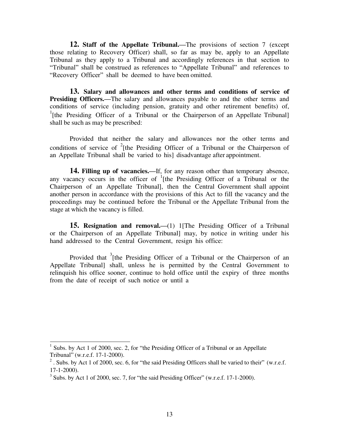**12. Staff of the Appellate Tribunal.—**The provisions of section 7 (except those relating to Recovery Officer) shall, so far as may be, apply to an Appellate Tribunal as they apply to a Tribunal and accordingly references in that section to "Tribunal" shall be construed as references to "Appellate Tribunal" and references to "Recovery Officer" shall be deemed to have been omitted.

**13. Salary and allowances and other terms and conditions of service of Presiding Officers.—**The salary and allowances payable to and the other terms and conditions of service (including pension, gratuity and other retirement benefits) of, <sup>1</sup>[the Presiding Officer of a Tribunal or the Chairperson of an Appellate Tribunal] shall be such as may be prescribed:

Provided that neither the salary and allowances nor the other terms and conditions of service of  $2$ <sup>[the Presiding Officer of a Tribunal or the Chairperson of</sup> an Appellate Tribunal shall be varied to his] disadvantage after appointment.

**14. Filling up of vacancies.—**If, for any reason other than temporary absence, any vacancy occurs in the officer of  $\frac{1}{1}$  [the Presiding Officer of a Tribunal or the Chairperson of an Appellate Tribunal], then the Central Government shall appoint another person in accordance with the provisions of this Act to fill the vacancy and the proceedings may be continued before the Tribunal or the Appellate Tribunal from the stage at which the vacancy is filled.

**15. Resignation and removal.—(1) 1 [The Presiding Officer of a Tribunal** or the Chairperson of an Appellate Tribunal] may, by notice in writing under his hand addressed to the Central Government, resign his office:

Provided that <sup>3</sup>[the Presiding Officer of a Tribunal or the Chairperson of an Appellate Tribunal] shall, unless he is permitted by the Central Government to relinquish his office sooner, continue to hold office until the expiry of three months from the date of receipt of such notice or until a

Subs. by Act 1 of 2000, sec. 2, for "the Presiding Officer of a Tribunal or an Appellate Tribunal" (w.r.e.f. 17-1-2000).

<sup>&</sup>lt;sup>2</sup>. Subs. by Act 1 of 2000, sec. 6, for "the said Presiding Officers shall be varied to their" (w.r.e.f. 17-1-2000).

 $3$  Subs. by Act 1 of 2000, sec. 7, for "the said Presiding Officer" (w.r.e.f. 17-1-2000).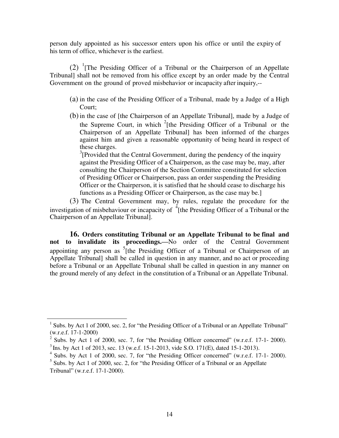person duly appointed as his successor enters upon his office or until the expiry of his term of office, whichever is the earliest.

(2) <sup>1</sup> [The Presiding Officer of a Tribunal or the Chairperson of an Appellate Tribunal] shall not be removed from his office except by an order made by the Central Government on the ground of proved misbehavior or incapacity after inquiry,--

- (a) in the case of the Presiding Officer of a Tribunal, made by a Judge of a High Court;
- (b)in the case of [the Chairperson of an Appellate Tribunal], made by a Judge of the Supreme Court, in which  $2$ [the Presiding Officer of a Tribunal or the Chairperson of an Appellate Tribunal] has been informed of the charges against him and given a reasonable opportunity of being heard in respect of these charges.

 $3$ [Provided that the Central Government, during the pendency of the inquiry against the Presiding Officer of a Chairperson, as the case may be, may, after consulting the Chairperson of the Section Committee constituted for selection of Presiding Officer or Chairperson, pass an order suspending the Presiding Officer or the Chairperson, it is satisfied that he should cease to discharge his functions as a Presiding Officer or Chairperson, as the case may be.]

(3) The Central Government may, by rules, regulate the procedure for the investigation of misbehaviour or incapacity of  $\frac{4}{1}$ [the Presiding Officer of a Tribunal or the Chairperson of an Appellate Tribunal].

**16. Orders constituting Tribunal or an Appellate Tribunal to be final and not to invalidate its proceedings.—**No order of the Central Government appointing any person as <sup>5</sup>[the Presiding Officer of a Tribunal or Chairperson of an Appellate Tribunal] shall be called in question in any manner, and no act or proceeding before a Tribunal or an Appellate Tribunal shall be called in question in any manner on the ground merely of any defect in the constitution of a Tribunal or an Appellate Tribunal.

Subs. by Act 1 of 2000, sec. 2, for "the Presiding Officer of a Tribunal or an Appellate Tribunal" (w.r.e.f. 17-1-2000)

 $2$  Subs. by Act 1 of 2000, sec. 7, for "the Presiding Officer concerned" (w.r.e.f. 17-1- 2000).

 $3$  Ins. by Act 1 of 2013, sec. 13 (w.e.f. 15-1-2013, vide S.O. 171(E), dated 15-1-2013).

 $4$  Subs. by Act 1 of 2000, sec. 7, for "the Presiding Officer concerned" (w.r.e.f. 17-1- 2000).

 $5$  Subs. by Act 1 of 2000, sec. 2, for "the Presiding Officer of a Tribunal or an Appellate Tribunal" (w.r.e.f. 17-1-2000).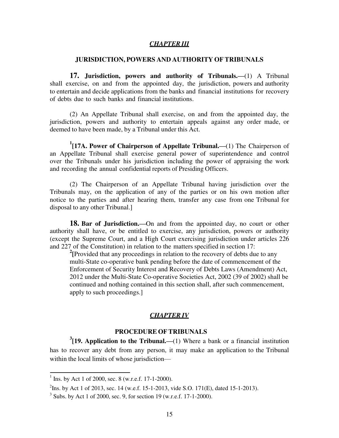#### *CHAPTER III*

### **JURISDICTION, POWERS AND AUTHORITY OF TRIBUNALS**

**17. Jurisdiction, powers and authority of Tribunals.—**(1) A Tribunal shall exercise, on and from the appointed day, the jurisdiction, powers and authority to entertain and decide applications from the banks and financial institutions for recovery of debts due to such banks and financial institutions.

(2) An Appellate Tribunal shall exercise, on and from the appointed day, the jurisdiction, powers and authority to entertain appeals against any order made, or deemed to have been made, by a Tribunal under this Act.

**1 [17A. Power of Chairperson of Appellate Tribunal.—**(1) The Chairperson of an Appellate Tribunal shall exercise general power of superintendence and control over the Tribunals under his jurisdiction including the power of appraising the work and recording the annual confidential reports of Presiding Officers.

(2) The Chairperson of an Appellate Tribunal having jurisdiction over the Tribunals may, on the application of any of the parties or on his own motion after notice to the parties and after hearing them, transfer any case from one Tribunal for disposal to any other Tribunal.]

**18. Bar of Jurisdiction.—**On and from the appointed day, no court or other authority shall have, or be entitled to exercise, any jurisdiction, powers or authority (except the Supreme Court, and a High Court exercising jurisdiction under articles 226 and 227 of the Constitution) in relation to the matters specified in section 17:

<sup>2</sup>[Provided that any proceedings in relation to the recovery of debts due to any multi-State co-operative bank pending before the date of commencement of the Enforcement of Security Interest and Recovery of Debts Laws (Amendment) Act, 2012 under the Multi-State Co-operative Societies Act, 2002 (39 of 2002) shall be continued and nothing contained in this section shall, after such commencement, apply to such proceedings.]

#### *CHAPTER IV*

### **PROCEDURE OF TRIBUNALS**

**3 [19. Application to the Tribunal.—**(1) Where a bank or a financial institution has to recover any debt from any person, it may make an application to the Tribunal within the local limits of whose jurisdiction—

 $1$  Ins. by Act 1 of 2000, sec. 8 (w.r.e.f. 17-1-2000).

<sup>&</sup>lt;sup>2</sup>Ins. by Act 1 of 2013, sec. 14 (w.e.f. 15-1-2013, vide S.O. 171(E), dated 15-1-2013).

 $3$  Subs. by Act 1 of 2000, sec. 9, for section 19 (w.r.e.f. 17-1-2000).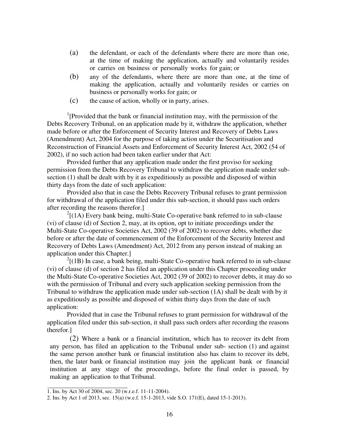- (a) the defendant, or each of the defendants where there are more than one, at the time of making the application, actually and voluntarily resides or carries on business or personally works for gain; or
- (b) any of the defendants, where there are more than one, at the time of making the application, actually and voluntarily resides or carries on business or personally works for gain; or
- (c) the cause of action, wholly or in party, arises.

<sup>1</sup>[Provided that the bank or financial institution may, with the permission of the Debts Recovery Tribunal, on an application made by it, withdraw the application, whether made before or after the Enforcement of Security Interest and Recovery of Debts Laws (Amendment) Act, 2004 for the purpose of taking action under the Securitisation and Reconstruction of Financial Assets and Enforcement of Security Interest Act, 2002 (54 of 2002), if no such action had been taken earlier under that Act:

Provided further that any application made under the first proviso for seeking permission from the Debts Recovery Tribunal to withdraw the application made under subsection (1) shall be dealt with by it as expeditiously as possible and disposed of within thirty days from the date of such application:

Provided also that in case the Debts Recovery Tribunal refuses to grant permission for withdrawal of the application filed under this sub-section, it should pass such orders after recording the reasons therefor.]

 $^{2}$ [(1A) Every bank being, multi-State Co-operative bank referred to in sub-clause (vi) of clause (d) of Section 2, may, at its option, opt to initiate proceedings under the Multi-State Co-operative Societies Act, 2002 (39 of 2002) to recover debts, whether due before or after the date of commencement of the Enforcement of the Security Interest and Recovery of Debts Laws (Amendment) Act, 2012 from any person instead of making an application under this Chapter.]

 $2[(1B)$  In case, a bank being, multi-State Co-operative bank referred to in sub-clause (vi) of clause (d) of section 2 has filed an application under this Chapter proceeding under the Multi-State Co-operative Societies Act, 2002 (39 of 2002) to recover debts, it may do so with the permission of Tribunal and every such application seeking permission from the Tribunal to withdraw the application made under sub-section (1A) shall be dealt with by it as expeditiously as possible and disposed of within thirty days from the date of such application:

Provided that in case the Tribunal refuses to grant permission for withdrawal of the application filed under this sub-section, it shall pass such orders after recording the reasons therefor.]

(2) Where a bank or a financial institution, which has to recover its debt from any person, has filed an application to the Tribunal under sub- section (1) and against the same person another bank or financial institution also has claim to recover its debt, then, the later bank or financial institution may join the applicant bank or financial institution at any stage of the proceedings, before the final order is passed, by making an application to that Tribunal.

<sup>1.</sup> Ins. by Act 30 of 2004, sec.  $20$  (w.r.e.f. 11-11-2004).

<sup>2.</sup> Ins. by Act 1 of 2013, sec. 15(a) (w.e.f. 15-1-2013, vide S.O. 171(E), dated 15-1-2013).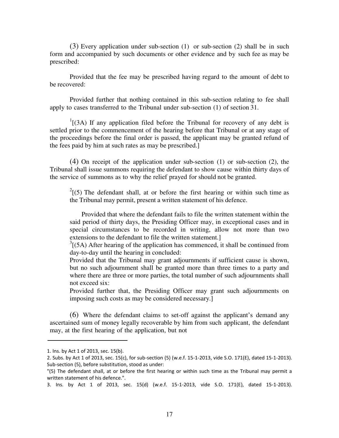(3) Every application under sub-section (1) or sub-section (2) shall be in such form and accompanied by such documents or other evidence and by such fee as may be prescribed:

Provided that the fee may be prescribed having regard to the amount of debt to be recovered:

Provided further that nothing contained in this sub-section relating to fee shall apply to cases transferred to the Tribunal under sub-section (1) of section 31.

 $1$ [(3A) If any application filed before the Tribunal for recovery of any debt is settled prior to the commencement of the hearing before that Tribunal or at any stage of the proceedings before the final order is passed, the applicant may be granted refund of the fees paid by him at such rates as may be prescribed.]

(4) On receipt of the application under sub-section (1) or sub-section (2), the Tribunal shall issue summons requiring the defendant to show cause within thirty days of the service of summons as to why the relief prayed for should not be granted.

 $2(5)$  The defendant shall, at or before the first hearing or within such time as the Tribunal may permit, present a written statement of his defence.

 Provided that where the defendant fails to file the written statement within the said period of thirty days, the Presiding Officer may, in exceptional cases and in special circumstances to be recorded in writing, allow not more than two extensions to the defendant to file the written statement.]

 $3(5A)$  After hearing of the application has commenced, it shall be continued from day-to-day until the hearing in concluded:

Provided that the Tribunal may grant adjournments if sufficient cause is shown, but no such adjournment shall be granted more than three times to a party and where there are three or more parties, the total number of such adjournments shall not exceed six:

Provided further that, the Presiding Officer may grant such adjournments on imposing such costs as may be considered necessary.]

(6) Where the defendant claims to set-off against the applicant's demand any ascertained sum of money legally recoverable by him from such applicant, the defendant may, at the first hearing of the application, but not

<sup>1.</sup> Ins. by Act 1 of 2013, sec. 15(b).

<sup>2.</sup> Subs. by Act 1 of 2013, sec. 15(c), for sub-section (5) (w.e.f. 15-1-2013, vide S.O. 171(E), dated 15-1-2013). Sub-section (5), before substitution, stood as under:

<sup>&</sup>quot;(5) The defendant shall, at or before the first hearing or within such time as the Tribunal may permit a written statement of his defence.".

<sup>3.</sup> Ins. by Act 1 of 2013, sec. 15(d) (w.e.f. 15-1-2013, vide S.O. 171(E), dated 15-1-2013).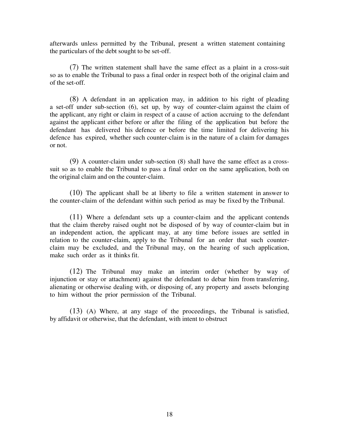afterwards unless permitted by the Tribunal, present a written statement containing the particulars of the debt sought to be set-off.

(7) The written statement shall have the same effect as a plaint in a cross-suit so as to enable the Tribunal to pass a final order in respect both of the original claim and of the set-off.

(8) A defendant in an application may, in addition to his right of pleading a set-off under sub-section (6), set up, by way of counter-claim against the claim of the applicant, any right or claim in respect of a cause of action accruing to the defendant against the applicant either before or after the filing of the application but before the defendant has delivered his defence or before the time limited for delivering his defence has expired, whether such counter-claim is in the nature of a claim for damages or not.

(9) A counter-claim under sub-section (8) shall have the same effect as a crosssuit so as to enable the Tribunal to pass a final order on the same application, both on the original claim and on the counter-claim.

(10) The applicant shall be at liberty to file a written statement in answer to the counter-claim of the defendant within such period as may be fixed by the Tribunal.

(11) Where a defendant sets up a counter-claim and the applicant contends that the claim thereby raised ought not be disposed of by way of counter-claim but in an independent action, the applicant may, at any time before issues are settled in relation to the counter-claim, apply to the Tribunal for an order that such counterclaim may be excluded, and the Tribunal may, on the hearing of such application, make such order as it thinks fit.

(12) The Tribunal may make an interim order (whether by way of injunction or stay or attachment) against the defendant to debar him from transferring, alienating or otherwise dealing with, or disposing of, any property and assets belonging to him without the prior permission of the Tribunal.

(13) (A) Where, at any stage of the proceedings, the Tribunal is satisfied, by affidavit or otherwise, that the defendant, with intent to obstruct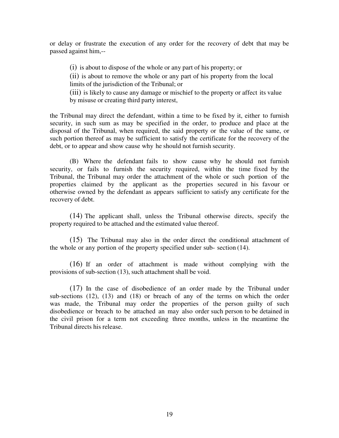or delay or frustrate the execution of any order for the recovery of debt that may be passed against him,--

(i) is about to dispose of the whole or any part of his property; or

(ii) is about to remove the whole or any part of his property from the local limits of the jurisdiction of the Tribunal; or

(iii) is likely to cause any damage or mischief to the property or affect its value by misuse or creating third party interest,

the Tribunal may direct the defendant, within a time to be fixed by it, either to furnish security, in such sum as may be specified in the order, to produce and place at the disposal of the Tribunal, when required, the said property or the value of the same, or such portion thereof as may be sufficient to satisfy the certificate for the recovery of the debt, or to appear and show cause why he should not furnish security.

(B) Where the defendant fails to show cause why he should not furnish security, or fails to furnish the security required, within the time fixed by the Tribunal, the Tribunal may order the attachment of the whole or such portion of the properties claimed by the applicant as the properties secured in his favour or otherwise owned by the defendant as appears sufficient to satisfy any certificate for the recovery of debt.

(14) The applicant shall, unless the Tribunal otherwise directs, specify the property required to be attached and the estimated value thereof.

(15) The Tribunal may also in the order direct the conditional attachment of the whole or any portion of the property specified under sub- section (14).

(16) If an order of attachment is made without complying with the provisions of sub-section (13), such attachment shall be void.

(17) In the case of disobedience of an order made by the Tribunal under sub-sections (12), (13) and (18) or breach of any of the terms on which the order was made, the Tribunal may order the properties of the person guilty of such disobedience or breach to be attached an may also order such person to be detained in the civil prison for a term not exceeding three months, unless in the meantime the Tribunal directs his release.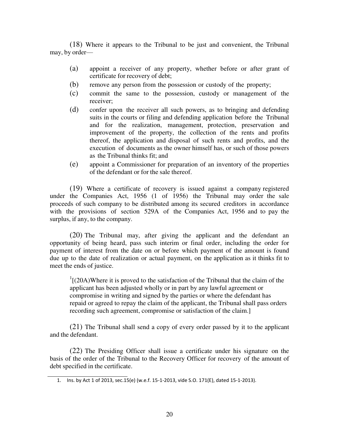(18) Where it appears to the Tribunal to be just and convenient, the Tribunal may, by order—

- (a) appoint a receiver of any property, whether before or after grant of certificate for recovery of debt;
- (b) remove any person from the possession or custody of the property;
- (c) commit the same to the possession, custody or management of the receiver;
- (d) confer upon the receiver all such powers, as to bringing and defending suits in the courts or filing and defending application before the Tribunal and for the realization, management, protection, preservation and improvement of the property, the collection of the rents and profits thereof, the application and disposal of such rents and profits, and the execution of documents as the owner himself has, or such of those powers as the Tribunal thinks fit; and
- (e) appoint a Commissioner for preparation of an inventory of the properties of the defendant or for the sale thereof.

(19) Where a certificate of recovery is issued against a company registered under the Companies Act, 1956 (1 of 1956) the Tribunal may order the sale proceeds of such company to be distributed among its secured creditors in accordance with the provisions of section 529A of the Companies Act, 1956 and to pay the surplus, if any, to the company.

(20) The Tribunal may, after giving the applicant and the defendant an opportunity of being heard, pass such interim or final order, including the order for payment of interest from the date on or before which payment of the amount is found due up to the date of realization or actual payment, on the application as it thinks fit to meet the ends of justice.

 $\frac{1}{2}$ [(20A)Where it is proved to the satisfaction of the Tribunal that the claim of the applicant has been adjusted wholly or in part by any lawful agreement or compromise in writing and signed by the parties or where the defendant has repaid or agreed to repay the claim of the applicant, the Tribunal shall pass orders recording such agreement, compromise or satisfaction of the claim.]

(21) The Tribunal shall send a copy of every order passed by it to the applicant and the defendant.

(22) The Presiding Officer shall issue a certificate under his signature on the basis of the order of the Tribunal to the Recovery Officer for recovery of the amount of debt specified in the certificate.

<sup>1.</sup> Ins. by Act 1 of 2013, sec.15(e) (w.e.f. 15-1-2013, vide S.O. 171(E), dated 15-1-2013).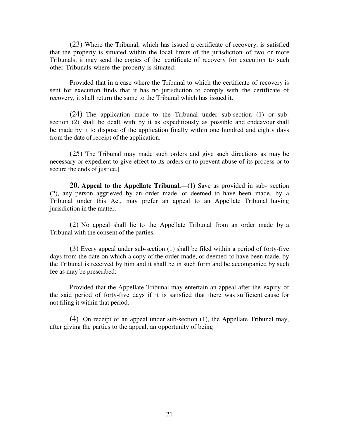(23) Where the Tribunal, which has issued a certificate of recovery, is satisfied that the property is situated within the local limits of the jurisdiction of two or more Tribunals, it may send the copies of the certificate of recovery for execution to such other Tribunals where the property is situated:

Provided that in a case where the Tribunal to which the certificate of recovery is sent for execution finds that it has no jurisdiction to comply with the certificate of recovery, it shall return the same to the Tribunal which has issued it.

(24) The application made to the Tribunal under sub-section (1) or subsection (2) shall be dealt with by it as expeditiously as possible and endeavour shall be made by it to dispose of the application finally within one hundred and eighty days from the date of receipt of the application.

(25) The Tribunal may made such orders and give such directions as may be necessary or expedient to give effect to its orders or to prevent abuse of its process or to secure the ends of justice.]

**20. Appeal to the Appellate Tribunal.—**(1) Save as provided in sub- section (2), any person aggrieved by an order made, or deemed to have been made, by a Tribunal under this Act, may prefer an appeal to an Appellate Tribunal having jurisdiction in the matter.

(2) No appeal shall lie to the Appellate Tribunal from an order made by a Tribunal with the consent of the parties.

(3) Every appeal under sub-section (1) shall be filed within a period of forty-five days from the date on which a copy of the order made, or deemed to have been made, by the Tribunal is received by him and it shall be in such form and be accompanied by such fee as may be prescribed:

Provided that the Appellate Tribunal may entertain an appeal after the expiry of the said period of forty-five days if it is satisfied that there was sufficient cause for not filing it within that period.

(4) On receipt of an appeal under sub-section (1), the Appellate Tribunal may, after giving the parties to the appeal, an opportunity of being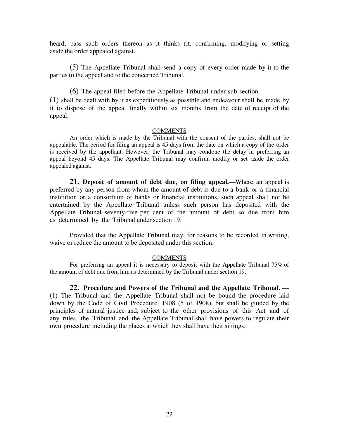heard, pass such orders thereon as it thinks fit, confirming, modifying or setting aside the order appealed against.

(5) The Appellate Tribunal shall send a copy of every order made by it to the parties to the appeal and to the concerned Tribunal.

(6) The appeal filed before the Appellate Tribunal under sub-section (1) shall be dealt with by it as expeditiously as possible and endeavour shall be made by it to dispose of the appeal finally within six months from the date of receipt of the appeal.

#### **COMMENTS**

An order which is made by the Tribunal with the consent of the parties, shall not be appealable. The period for filing an appeal is 45 days from the date on which a copy of the order is received by the appellant. However, the Tribunal may condone the delay in preferring an appeal beyond 45 days. The Appellate Tribunal may confirm, modify or set aside the order appealed against.

**21. Deposit of amount of debt due, on filing appeal.—**Where an appeal is preferred by any person from whom the amount of debt is due to a bank or a financial institution or a consortium of banks or financial institutions, such appeal shall not be entertained by the Appellate Tribunal unless such person has deposited with the Appellate Tribunal seventy-five per cent of the amount of debt so due from him as determined by the Tribunal under section 19:

Provided that the Appellate Tribunal may, for reasons to be recorded in writing, waive or reduce the amount to be deposited under this section.

#### **COMMENTS**

For preferring an appeal it is necessary to deposit with the Appellate Tribunal 75% of the amount of debt due from him as determined by the Tribunal under section 19.

**22. Procedure and Powers of the Tribunal and the Appellate Tribunal. —** (1) The Tribunal and the Appellate Tribunal shall not be bound the procedure laid down by the Code of Civil Procedure, 1908 (5 of 1908), but shall be guided by the principles of natural justice and, subject to the other provisions of this Act and of any rules, the Tribunal and the Appellate Tribunal shall have powers to regulate their own procedure including the places at which they shall have their sittings.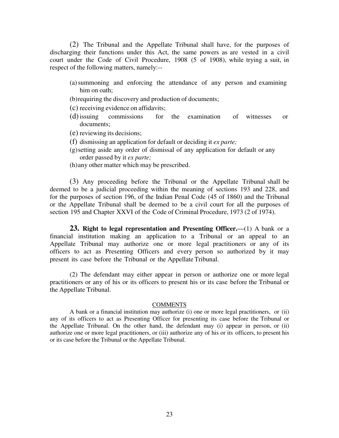(2) The Tribunal and the Appellate Tribunal shall have, for the purposes of discharging their functions under this Act, the same powers as are vested in a civil court under the Code of Civil Procedure, 1908 (5 of 1908), while trying a suit, in respect of the following matters, namely:--

- (a) summoning and enforcing the attendance of any person and examining him on oath;
- (b) requiring the discovery and production of documents;

(c) receiving evidence on affidavits;

- (d)issuing commissions for the examination of witnesses or documents;
- (e) reviewing its decisions;
- (f) dismissing an application for default or deciding it *ex parte;*
- (g) setting aside any order of dismissal of any application for default or any order passed by it *ex parte;*
- (h) any other matter which may be prescribed.

(3) Any proceeding before the Tribunal or the Appellate Tribunal shall be deemed to be a judicial proceeding within the meaning of sections 193 and 228, and for the purposes of section 196, of the Indian Penal Code (45 of 1860) and the Tribunal or the Appellate Tribunal shall be deemed to be a civil court for all the purposes of section 195 and Chapter XXVI of the Code of Criminal Procedure, 1973 (2 of 1974).

**23. Right to legal representation and Presenting Officer.—**(1) A bank or a financial institution making an application to a Tribunal or an appeal to an Appellate Tribunal may authorize one or more legal practitioners or any of its officers to act as Presenting Officers and every person so authorized by it may present its case before the Tribunal or the Appellate Tribunal.

(2) The defendant may either appear in person or authorize one or more legal practitioners or any of his or its officers to present his or its case before the Tribunal or the Appellate Tribunal.

#### **COMMENTS**

A bank or a financial institution may authorize (i) one or more legal practitioners, or (ii) any of its officers to act as Presenting Officer for presenting its case before the Tribunal or the Appellate Tribunal. On the other hand, the defendant may (i) appear in person, or (ii) authorize one or more legal practitioners, or (iii) authorize any of his or its officers, to present his or its case before the Tribunal or the Appellate Tribunal.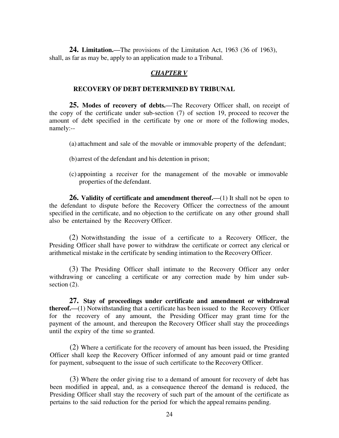**24. Limitation.—**The provisions of the Limitation Act, 1963 (36 of 1963), shall, as far as may be, apply to an application made to a Tribunal.

### *CHAPTER V*

### **RECOVERY OF DEBT DETERMINED BY TRIBUNAL**

**25. Modes of recovery of debts.—**The Recovery Officer shall, on receipt of the copy of the certificate under sub-section (7) of section 19, proceed to recover the amount of debt specified in the certificate by one or more of the following modes, namely:--

- (a) attachment and sale of the movable or immovable property of the defendant;
- (b) arrest of the defendant and his detention in prison;
- (c) appointing a receiver for the management of the movable or immovable properties of the defendant.

**26. Validity of certificate and amendment thereof.—**(1) It shall not be open to the defendant to dispute before the Recovery Officer the correctness of the amount specified in the certificate, and no objection to the certificate on any other ground shall also be entertained by the Recovery Officer.

(2) Notwithstanding the issue of a certificate to a Recovery Officer, the Presiding Officer shall have power to withdraw the certificate or correct any clerical or arithmetical mistake in the certificate by sending intimation to the Recovery Officer.

(3) The Presiding Officer shall intimate to the Recovery Officer any order withdrawing or canceling a certificate or any correction made by him under subsection  $(2)$ .

**27. Stay of proceedings under certificate and amendment or withdrawal thereof.—**(1) Notwithstanding that a certificate has been issued to the Recovery Officer for the recovery of any amount, the Presiding Officer may grant time for the payment of the amount, and thereupon the Recovery Officer shall stay the proceedings until the expiry of the time so granted.

(2) Where a certificate for the recovery of amount has been issued, the Presiding Officer shall keep the Recovery Officer informed of any amount paid or time granted for payment, subsequent to the issue of such certificate to the Recovery Officer.

(3) Where the order giving rise to a demand of amount for recovery of debt has been modified in appeal, and, as a consequence thereof the demand is reduced, the Presiding Officer shall stay the recovery of such part of the amount of the certificate as pertains to the said reduction for the period for which the appeal remains pending.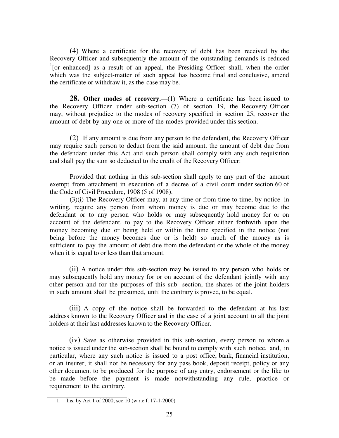(4) Where a certificate for the recovery of debt has been received by the Recovery Officer and subsequently the amount of the outstanding demands is reduced <sup>1</sup>[or enhanced] as a result of an appeal, the Presiding Officer shall, when the order which was the subject-matter of such appeal has become final and conclusive, amend the certificate or withdraw it, as the case may be.

**28. Other modes of recovery.—(1) Where a certificate has been issued to** the Recovery Officer under sub-section (7) of section 19, the Recovery Officer may, without prejudice to the modes of recovery specified in section 25, recover the amount of debt by any one or more of the modes provided under this section.

(2) If any amount is due from any person to the defendant, the Recovery Officer may require such person to deduct from the said amount, the amount of debt due from the defendant under this Act and such person shall comply with any such requisition and shall pay the sum so deducted to the credit of the Recovery Officer:

Provided that nothing in this sub-section shall apply to any part of the amount exempt from attachment in execution of a decree of a civil court under section 60 of the Code of Civil Procedure, 1908 (5 of 1908).

(3)(i) The Recovery Officer may, at any time or from time to time, by notice in writing, require any person from whom money is due or may become due to the defendant or to any person who holds or may subsequently hold money for or on account of the defendant, to pay to the Recovery Officer either forthwith upon the money becoming due or being held or within the time specified in the notice (not being before the money becomes due or is held) so much of the money as is sufficient to pay the amount of debt due from the defendant or the whole of the money when it is equal to or less than that amount.

(ii) A notice under this sub-section may be issued to any person who holds or may subsequently hold any money for or on account of the defendant jointly with any other person and for the purposes of this sub- section, the shares of the joint holders in such amount shall be presumed, until the contrary is proved, to be equal.

(iii) A copy of the notice shall be forwarded to the defendant at his last address known to the Recovery Officer and in the case of a joint account to all the joint holders at their last addresses known to the Recovery Officer.

(iv) Save as otherwise provided in this sub-section, every person to whom a notice is issued under the sub-section shall be bound to comply with such notice, and, in particular, where any such notice is issued to a post office, bank, financial institution, or an insurer, it shall not be necessary for any pass book, deposit receipt, policy or any other document to be produced for the purpose of any entry, endorsement or the like to be made before the payment is made notwithstanding any rule, practice or requirement to the contrary.

<sup>1.</sup> Ins. by Act 1 of 2000, sec.10 (w.r.e.f. 17-1-2000)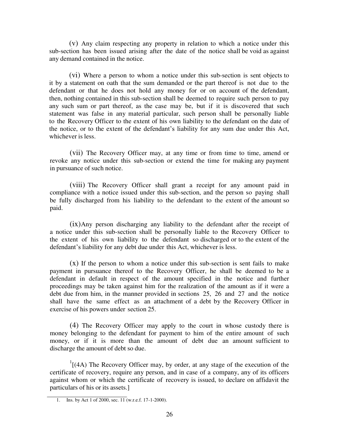(v) Any claim respecting any property in relation to which a notice under this sub-section has been issued arising after the date of the notice shall be void as against any demand contained in the notice.

(vi) Where a person to whom a notice under this sub-section is sent objects to it by a statement on oath that the sum demanded or the part thereof is not due to the defendant or that he does not hold any money for or on account of the defendant, then, nothing contained in this sub-section shall be deemed to require such person to pay any such sum or part thereof, as the case may be, but if it is discovered that such statement was false in any material particular, such person shall be personally liable to the Recovery Officer to the extent of his own liability to the defendant on the date of the notice, or to the extent of the defendant's liability for any sum due under this Act, whichever is less.

(vii) The Recovery Officer may, at any time or from time to time, amend or revoke any notice under this sub-section or extend the time for making any payment in pursuance of such notice.

(viii) The Recovery Officer shall grant a receipt for any amount paid in compliance with a notice issued under this sub-section, and the person so paying shall be fully discharged from his liability to the defendant to the extent of the amount so paid.

(ix)Any person discharging any liability to the defendant after the receipt of a notice under this sub-section shall be personally liable to the Recovery Officer to the extent of his own liability to the defendant so discharged or to the extent of the defendant's liability for any debt due under this Act, whichever is less.

 $(x)$  If the person to whom a notice under this sub-section is sent fails to make payment in pursuance thereof to the Recovery Officer, he shall be deemed to be a defendant in default in respect of the amount specified in the notice and further proceedings may be taken against him for the realization of the amount as if it were a debt due from him, in the manner provided in sections 25, 26 and 27 and the notice shall have the same effect as an attachment of a debt by the Recovery Officer in exercise of his powers under section 25.

(4) The Recovery Officer may apply to the court in whose custody there is money belonging to the defendant for payment to him of the entire amount of such money, or if it is more than the amount of debt due an amount sufficient to discharge the amount of debt so due.

 $1$ [(4A) The Recovery Officer may, by order, at any stage of the execution of the certificate of recovery, require any person, and in case of a company, any of its officers against whom or which the certificate of recovery is issued, to declare on affidavit the particulars of his or its assets.]

<sup>1.</sup> Ins. by Act 1 of 2000, sec. 11 (w.r.e.f. 17-1-2000).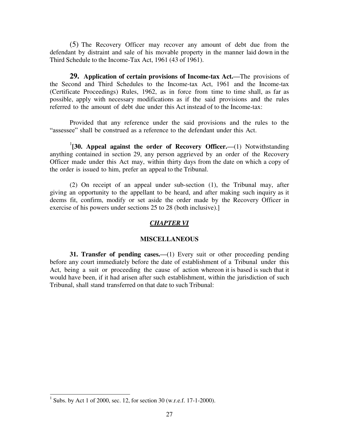(5) The Recovery Officer may recover any amount of debt due from the defendant by distraint and sale of his movable property in the manner laid down in the Third Schedule to the Income-Tax Act, 1961 (43 of 1961).

**29. Application of certain provisions of Income-tax Act.—**The provisions of the Second and Third Schedules to the Income-tax Act, 1961 and the Income-tax (Certificate Proceedings) Rules, 1962, as in force from time to time shall, as far as possible, apply with necessary modifications as if the said provisions and the rules referred to the amount of debt due under this Act instead of to the Income-tax:

Provided that any reference under the said provisions and the rules to the "assessee" shall be construed as a reference to the defendant under this Act.

<sup>1</sup>[30. Appeal against the order of Recovery Officer.—(1) Notwithstanding anything contained in section 29, any person aggrieved by an order of the Recovery Officer made under this Act may, within thirty days from the date on which a copy of the order is issued to him, prefer an appeal to the Tribunal.

(2) On receipt of an appeal under sub-section (1), the Tribunal may, after giving an opportunity to the appellant to be heard, and after making such inquiry as it deems fit, confirm, modify or set aside the order made by the Recovery Officer in exercise of his powers under sections 25 to 28 (both inclusive).]

### *CHAPTER VI*

#### **MISCELLANEOUS**

**31. Transfer of pending cases.—(1) Every suit or other proceeding pending** before any court immediately before the date of establishment of a Tribunal under this Act, being a suit or proceeding the cause of action whereon it is based is such that it would have been, if it had arisen after such establishment, within the jurisdiction of such Tribunal, shall stand transferred on that date to such Tribunal:

<sup>&</sup>lt;sup>1</sup> Subs. by Act 1 of 2000, sec. 12, for section 30 (w.r.e.f. 17-1-2000).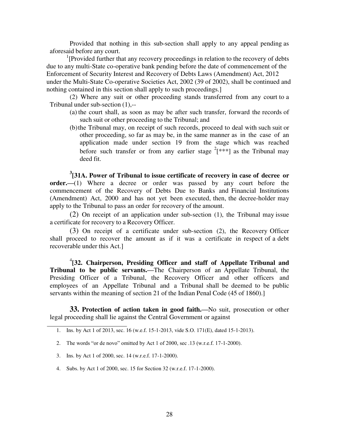Provided that nothing in this sub-section shall apply to any appeal pending as aforesaid before any court.

<sup>1</sup>[Provided further that any recovery proceedings in relation to the recovery of debts due to any multi-State co-operative bank pending before the date of commencement of the Enforcement of Security Interest and Recovery of Debts Laws (Amendment) Act, 2012 under the Multi-State Co-operative Societies Act, 2002 (39 of 2002), shall be continued and nothing contained in this section shall apply to such proceedings.]

(2) Where any suit or other proceeding stands transferred from any court to a Tribunal under sub-section (1),--

- (a) the court shall, as soon as may be after such transfer, forward the records of such suit or other proceeding to the Tribunal; and
- (b) the Tribunal may, on receipt of such records, proceed to deal with such suit or other proceeding, so far as may be, in the same manner as in the case of an application made under section 19 from the stage which was reached before such transfer or from any earlier stage  $2$ [\*\*\*] as the Tribunal may deed fit.

**3 [31A. Power of Tribunal to issue certificate of recovery in case of decree or order.—(1)** Where a decree or order was passed by any court before the commencement of the Recovery of Debts Due to Banks and Financial Institutions (Amendment) Act, 2000 and has not yet been executed, then, the decree-holder may apply to the Tribunal to pass an order for recovery of the amount.

(2) On receipt of an application under sub-section (1), the Tribunal may issue a certificate for recovery to a Recovery Officer.

(3) On receipt of a certificate under sub-section (2), the Recovery Officer shall proceed to recover the amount as if it was a certificate in respect of a debt recoverable under this Act.]

4 **[32. Chairperson, Presiding Officer and staff of Appellate Tribunal and Tribunal to be public servants.—**The Chairperson of an Appellate Tribunal, the Presiding Officer of a Tribunal, the Recovery Officer and other officers and employees of an Appellate Tribunal and a Tribunal shall be deemed to be public servants within the meaning of section 21 of the Indian Penal Code (45 of 1860).]

**33. Protection of action taken in good faith.—**No suit, prosecution or other legal proceeding shall lie against the Central Government or against

- 3. Ins. by Act 1 of 2000, sec. 14 (w.r.e.f. 17-1-2000).
- 4. Subs. by Act 1 of 2000, sec. 15 for Section 32 (w.r.e.f. 17-1-2000).

<sup>1.</sup> Ins. by Act 1 of 2013, sec. 16 (w.e.f. 15-1-2013, vide S.O. 171(E), dated 15-1-2013).

<sup>2.</sup> The words "or de novo" omitted by Act 1 of 2000, sec .13 (w.r.e.f. 17-1-2000).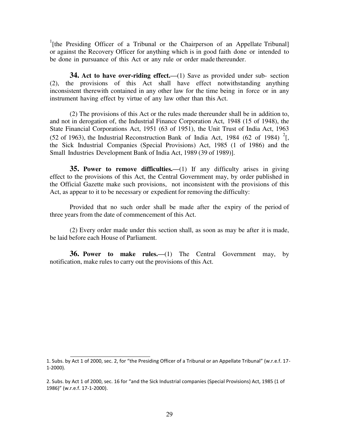<sup>1</sup>[the Presiding Officer of a Tribunal or the Chairperson of an Appellate Tribunal] or against the Recovery Officer for anything which is in good faith done or intended to be done in pursuance of this Act or any rule or order made thereunder.

**34.** Act to have over-riding effect.—(1) Save as provided under sub- section (2), the provisions of this Act shall have effect notwithstanding anything inconsistent therewith contained in any other law for the time being in force or in any instrument having effect by virtue of any law other than this Act.

(2) The provisions of this Act or the rules made thereunder shall be in addition to, and not in derogation of, the Industrial Finance Corporation Act, 1948 (15 of 1948), the State Financial Corporations Act, 1951 (63 of 1951), the Unit Trust of India Act, 1963 (52 of 1963), the Industrial Reconstruction Bank of India Act, 1984 (62 of 1984)  $2$ [, the Sick Industrial Companies (Special Provisions) Act, 1985 (1 of 1986) and the Small Industries Development Bank of India Act, 1989 (39 of 1989)].

**35. Power to remove difficulties.—**(1) If any difficulty arises in giving effect to the provisions of this Act, the Central Government may, by order published in the Official Gazette make such provisions, not inconsistent with the provisions of this Act, as appear to it to be necessary or expedient for removing the difficulty:

Provided that no such order shall be made after the expiry of the period of three years from the date of commencement of this Act.

(2) Every order made under this section shall, as soon as may be after it is made, be laid before each House of Parliament.

**36. Power to make rules.—**(1) The Central Government may, by notification, make rules to carry out the provisions of this Act.

<sup>1.</sup> Subs. by Act 1 of 2000, sec. 2, for "the Presiding Officer of a Tribunal or an Appellate Tribunal" (w.r.e.f. 17- 1-2000).

<sup>2.</sup> Subs. by Act 1 of 2000, sec. 16 for "and the Sick Industrial companies (Special Provisions) Act, 1985 (1 of 1986)" (w.r.e.f. 17-1-2000).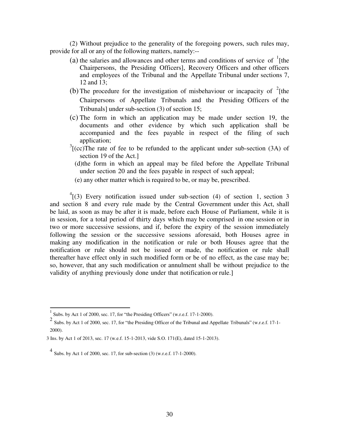(2) Without prejudice to the generality of the foregoing powers, such rules may, provide for all or any of the following matters, namely:--

- (a) the salaries and allowances and other terms and conditions of service of  $\frac{1}{1}$ [the Chairpersons, the Presiding Officers], Recovery Officers and other officers and employees of the Tribunal and the Appellate Tribunal under sections 7, 12 and 13;
- (b) The procedure for the investigation of misbehaviour or incapacity of  $2$ [the Chairpersons of Appellate Tribunals and the Presiding Officers of the Tribunals] under sub-section (3) of section 15;
- (c) The form in which an application may be made under section 19, the documents and other evidence by which such application shall be accompanied and the fees payable in respect of the filing of such application;
- $3$ [(cc)The rate of fee to be refunded to the applicant under sub-section (3A) of section 19 of the Act.]
	- (d)the form in which an appeal may be filed before the Appellate Tribunal under section 20 and the fees payable in respect of such appeal;
	- (e) any other matter which is required to be, or may be, prescribed.

 $^{4}$ [(3) Every notification issued under sub-section (4) of section 1, section 3 and section 8 and every rule made by the Central Government under this Act, shall be laid, as soon as may be after it is made, before each House of Parliament, while it is in session, for a total period of thirty days which may be comprised in one session or in two or more successive sessions, and if, before the expiry of the session immediately following the session or the successive sessions aforesaid, both Houses agree in making any modification in the notification or rule or both Houses agree that the notification or rule should not be issued or made, the notification or rule shall thereafter have effect only in such modified form or be of no effect, as the case may be; so, however, that any such modification or annulment shall be without prejudice to the validity of anything previously done under that notification or rule.]

Subs. by Act 1 of 2000, sec. 17, for "the Presiding Officers" (w.r.e.f. 17-1-2000).

 $\frac{2}{3}$  Subs. by Act 1 of 2000, sec. 17, for "the Presiding Officer of the Tribunal and Appellate Tribunals" (w.r.e.f. 17-1-2000).

<sup>3</sup> Ins. by Act 1 of 2013, sec. 17 (w.e.f. 15-1-2013, vide S.O. 171(E), dated 15-1-2013).

<sup>4</sup> Subs. by Act 1 of 2000, sec. 17, for sub-section (3) (w.r.e.f. 17-1-2000).